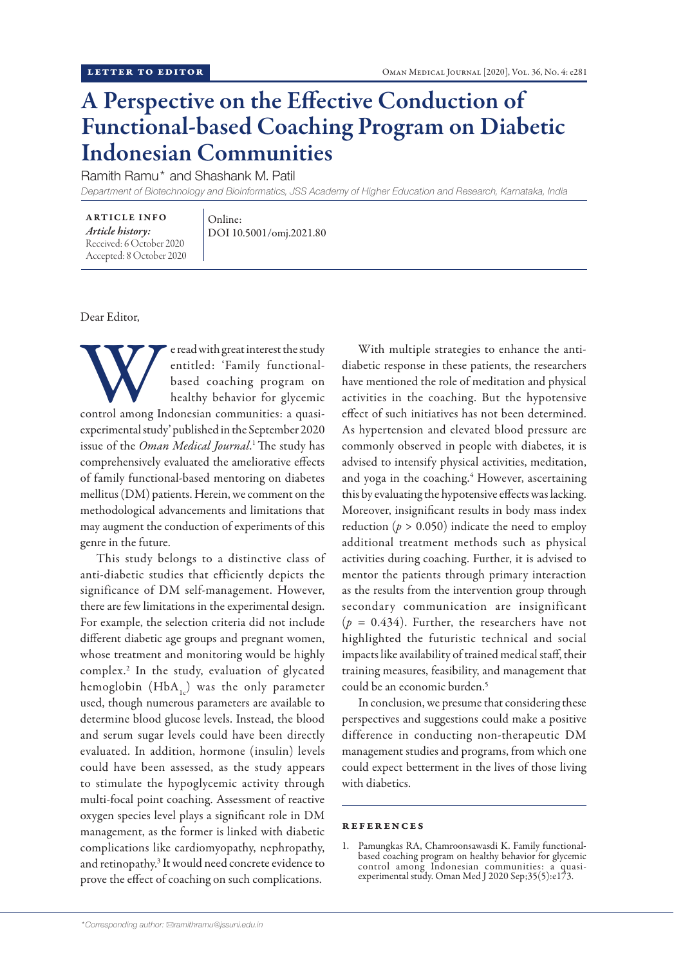## A Perspective on the Effective Conduction of Functional-based Coaching Program on Diabetic Indonesian Communities

Ramith Ramu\* and Shashank M. Patil

*Department of Biotechnology and Bioinformatics, JSS Academy of Higher Education and Research, Karnataka, India*

ARTICLE INFO *Article history:* Received: 6 October 2020 Accepted: 8 October 2020 Online: DOI 10.5001/omj.2021.80

Dear Editor,

We read with great interest the study<br>
entitled: 'Family functional-<br>
based coaching program on<br>
healthy behavior for glycemic<br>
control among Indonesian communities: a quasientitled: 'Family functionalbased coaching program on healthy behavior for glycemic experimental study' published in the September 2020 issue of the *Oman Medical Journal*. 1 The study has

comprehensively evaluated the ameliorative effects of family functional-based mentoring on diabetes mellitus (DM) patients. Herein, we comment on the methodological advancements and limitations that may augment the conduction of experiments of this genre in the future.

This study belongs to a distinctive class of anti-diabetic studies that efficiently depicts the significance of DM self-management. However, there are few limitations in the experimental design. For example, the selection criteria did not include different diabetic age groups and pregnant women, whose treatment and monitoring would be highly complex.2 In the study, evaluation of glycated hemoglobin  $(HbA_1)$  was the only parameter used, though numerous parameters are available to determine blood glucose levels. Instead, the blood and serum sugar levels could have been directly evaluated. In addition, hormone (insulin) levels could have been assessed, as the study appears to stimulate the hypoglycemic activity through multi-focal point coaching. Assessment of reactive oxygen species level plays a significant role in DM management, as the former is linked with diabetic complications like cardiomyopathy, nephropathy, and retinopathy.<sup>3</sup> It would need concrete evidence to prove the effect of coaching on such complications.

With multiple strategies to enhance the antidiabetic response in these patients, the researchers have mentioned the role of meditation and physical activities in the coaching. But the hypotensive effect of such initiatives has not been determined. As hypertension and elevated blood pressure are commonly observed in people with diabetes, it is advised to intensify physical activities, meditation, and yoga in the coaching.<sup>4</sup> However, ascertaining this by evaluating the hypotensive effects was lacking. Moreover, insignificant results in body mass index reduction ( $p > 0.050$ ) indicate the need to employ additional treatment methods such as physical activities during coaching. Further, it is advised to mentor the patients through primary interaction as the results from the intervention group through secondary communication are insignificant  $(p = 0.434)$ . Further, the researchers have not highlighted the futuristic technical and social impacts like availability of trained medical staff, their training measures, feasibility, and management that could be an economic burden.<sup>5</sup>

In conclusion, we presume that considering these perspectives and suggestions could make a positive difference in conducting non-therapeutic DM management studies and programs, from which one could expect betterment in the lives of those living with diabetics.

## references

1. Pamungkas RA, Chamroonsawasdi K. Family functionalbased coaching program on healthy behavior for glycemic control among Indonesian communities: a quasiexperimental study. Oman Med J 2020 Sep;35(5):e173.